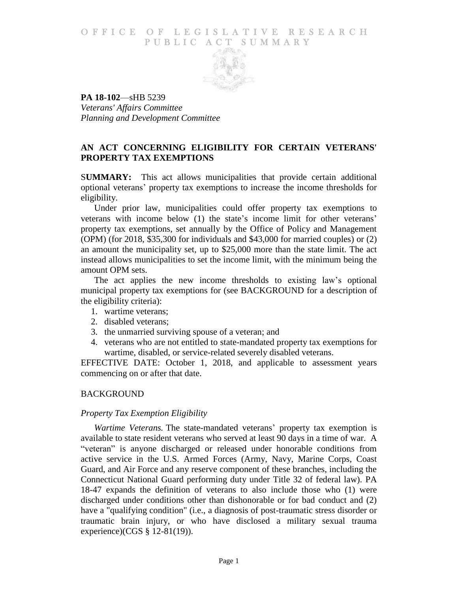## O F FICE OF LEGISLATIVE RESEARCH PUBLIC ACT SUMMARY



**PA 18-102**—sHB 5239 *Veterans' Affairs Committee Planning and Development Committee*

# **AN ACT CONCERNING ELIGIBILITY FOR CERTAIN VETERANS' PROPERTY TAX EXEMPTIONS**

S**UMMARY:** This act allows municipalities that provide certain additional optional veterans' property tax exemptions to increase the income thresholds for eligibility.

Under prior law, municipalities could offer property tax exemptions to veterans with income below (1) the state's income limit for other veterans' property tax exemptions, set annually by the Office of Policy and Management (OPM) (for 2018, \$35,300 for individuals and \$43,000 for married couples) or (2) an amount the municipality set, up to \$25,000 more than the state limit. The act instead allows municipalities to set the income limit, with the minimum being the amount OPM sets.

The act applies the new income thresholds to existing law's optional municipal property tax exemptions for (see BACKGROUND for a description of the eligibility criteria):

- 1. wartime veterans;
- 2. disabled veterans;
- 3. the unmarried surviving spouse of a veteran; and
- 4. veterans who are not entitled to state-mandated property tax exemptions for wartime, disabled, or service-related severely disabled veterans.

EFFECTIVE DATE: October 1, 2018, and applicable to assessment years commencing on or after that date.

#### BACKGROUND

#### *Property Tax Exemption Eligibility*

*Wartime Veterans.* The state-mandated veterans' property tax exemption is available to state resident veterans who served at least 90 days in a time of war. A "veteran" is anyone discharged or released under honorable conditions from active service in the U.S. Armed Forces (Army, Navy, Marine Corps, Coast Guard, and Air Force and any reserve component of these branches, including the Connecticut National Guard performing duty under Title 32 of federal law). PA 18-47 expands the definition of veterans to also include those who (1) were discharged under conditions other than dishonorable or for bad conduct and (2) have a "qualifying condition" (i.e., a diagnosis of post-traumatic stress disorder or traumatic brain injury, or who have disclosed a military sexual trauma experience)(CGS § 12-81(19)).